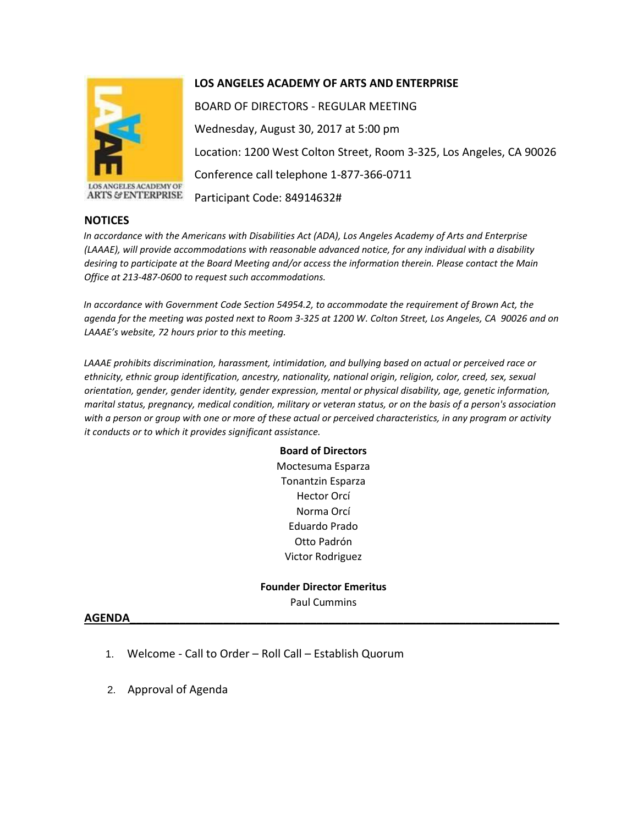

ANGELES ACADEMY OF **ARTS & ENTERPRISE** 

## **LOS ANGELES ACADEMY OF ARTS AND ENTERPRISE**

BOARD OF DIRECTORS - REGULAR MEETING Wednesday, August 30, 2017 at 5:00 pm Location: 1200 West Colton Street, Room 3-325, Los Angeles, CA 90026 Conference call telephone 1-877-366-0711 Participant Code: 84914632#

## **NOTICES**

*In accordance with the Americans with Disabilities Act (ADA), Los Angeles Academy of Arts and Enterprise (LAAAE), will provide accommodations with reasonable advanced notice, for any individual with a disability desiring to participate at the Board Meeting and/or access the information therein. Please contact the Main Office at 213-487-0600 to request such accommodations.* 

*In accordance with Government Code Section 54954.2, to accommodate the requirement of Brown Act, the agenda for the meeting was posted next to Room 3-325 at 1200 W. Colton Street, Los Angeles, CA 90026 and on LAAAE's website, 72 hours prior to this meeting.* 

*LAAAE prohibits discrimination, harassment, intimidation, and bullying based on actual or perceived race or ethnicity, ethnic group identification, ancestry, nationality, national origin, religion, color, creed, sex, sexual orientation, gender, gender identity, gender expression, mental or physical disability, age, genetic information, marital status, pregnancy, medical condition, military or veteran status, or on the basis of a person's association with a person or group with one or more of these actual or perceived characteristics, in any program or activity it conducts or to which it provides significant assistance.* 

> **Board of Directors** Moctesuma Esparza Tonantzin Esparza Hector Orcí Norma Orcí Eduardo Prado Otto Padrón Victor Rodriguez

**Founder Director Emeritus** Paul Cummins

## **AGENDA\_\_\_\_\_\_\_\_\_\_\_\_\_\_\_\_\_\_\_\_\_\_\_\_\_\_\_\_\_\_\_\_\_\_\_\_\_\_\_\_\_\_\_\_\_\_\_\_\_\_\_\_\_\_\_\_\_\_\_\_\_\_\_\_\_\_\_\_\_**

- 1. Welcome Call to Order Roll Call Establish Quorum
- 2. Approval of Agenda